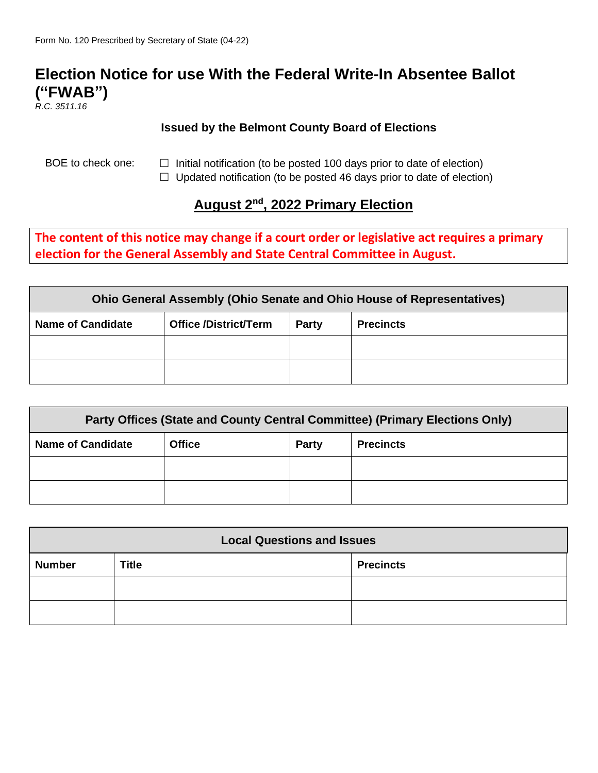## **Election Notice for use With the Federal Write-In Absentee Ballot ("FWAB")**

*R.C. 3511.16*

## **Issued by the Belmont County Board of Elections**

BOE to check one:  $\Box$  Initial notification (to be posted 100 days prior to date of election)

□ Updated notification (to be posted 46 days prior to date of election)

## **August 2nd, 2022 Primary Election**

**The content of this notice may change if a court order or legislative act requires a primary election for the General Assembly and State Central Committee in August.**

| <b>Ohio General Assembly (Ohio Senate and Ohio House of Representatives)</b> |                              |       |                  |  |  |
|------------------------------------------------------------------------------|------------------------------|-------|------------------|--|--|
| <b>Name of Candidate</b>                                                     | <b>Office /District/Term</b> | Party | <b>Precincts</b> |  |  |
|                                                                              |                              |       |                  |  |  |
|                                                                              |                              |       |                  |  |  |

| Party Offices (State and County Central Committee) (Primary Elections Only) |               |              |                  |  |  |
|-----------------------------------------------------------------------------|---------------|--------------|------------------|--|--|
| <b>Name of Candidate</b>                                                    | <b>Office</b> | <b>Party</b> | <b>Precincts</b> |  |  |
|                                                                             |               |              |                  |  |  |
|                                                                             |               |              |                  |  |  |

| <b>Local Questions and Issues</b> |              |                  |  |  |
|-----------------------------------|--------------|------------------|--|--|
| <b>Number</b>                     | <b>Title</b> | <b>Precincts</b> |  |  |
|                                   |              |                  |  |  |
|                                   |              |                  |  |  |